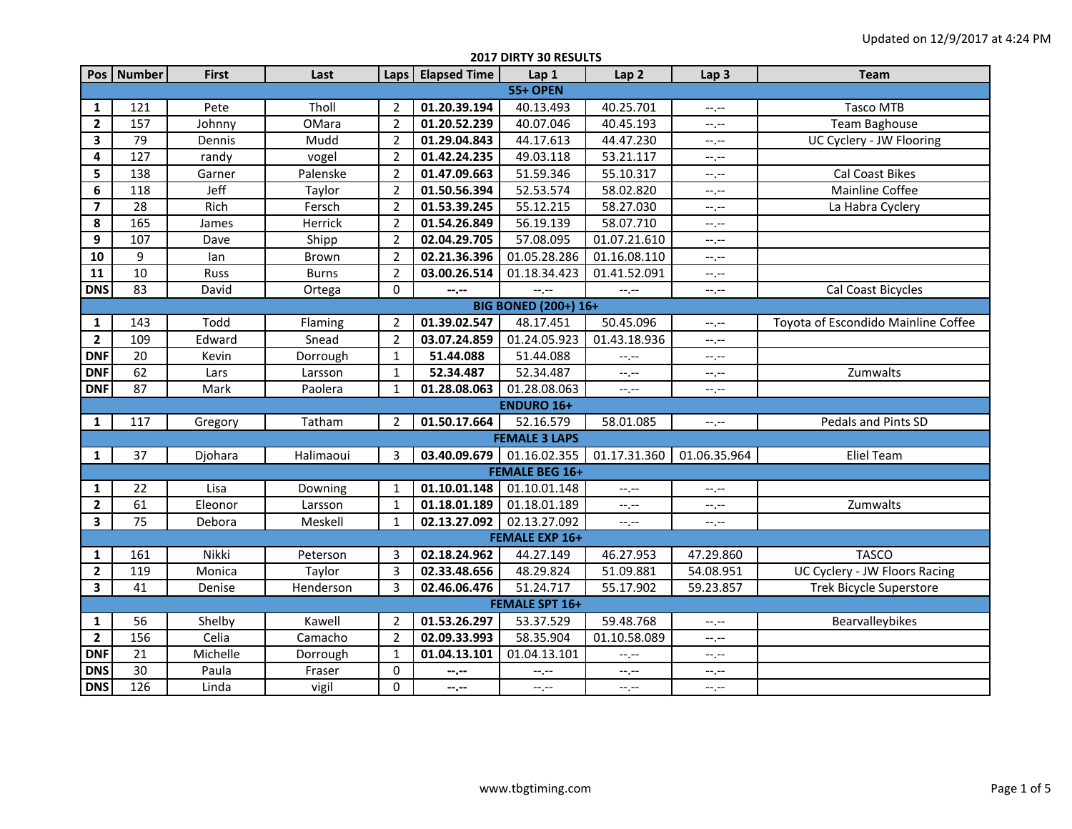| 2017 DIRTY 30 RESULTS   |                             |              |              |                |                           |                           |                  |                  |                                     |  |
|-------------------------|-----------------------------|--------------|--------------|----------------|---------------------------|---------------------------|------------------|------------------|-------------------------------------|--|
|                         | Pos   Number                | <b>First</b> | Last         | Laps           | <b>Elapsed Time</b>       | Lap 1                     | Lap <sub>2</sub> | Lap <sub>3</sub> | <b>Team</b>                         |  |
| <b>55+ OPEN</b>         |                             |              |              |                |                           |                           |                  |                  |                                     |  |
| $\mathbf{1}$            | 121                         | Pete         | Tholl        | 2              | 01.20.39.194              | 40.13.493                 | 40.25.701        | $-1$ , $-1$      | <b>Tasco MTB</b>                    |  |
| $\overline{2}$          | 157                         | Johnny       | OMara        | $\overline{2}$ | 01.20.52.239              | 40.07.046                 | 40.45.193        | $-1$ , $-1$      | <b>Team Baghouse</b>                |  |
| 3                       | 79                          | Dennis       | Mudd         | $\overline{2}$ | 01.29.04.843              | 44.17.613                 | 44.47.230        | $-1 - 1 - 1 = 0$ | UC Cyclery - JW Flooring            |  |
| 4                       | 127                         | randy        | vogel        | $\overline{2}$ | 01.42.24.235              | 49.03.118                 | 53.21.117        | $--, --$         |                                     |  |
| 5                       | 138                         | Garner       | Palenske     | $\overline{2}$ | 01.47.09.663              | 51.59.346                 | 55.10.317        | $-1, -1$         | <b>Cal Coast Bikes</b>              |  |
| 6                       | 118                         | Jeff         | Taylor       | $\overline{2}$ | $\overline{01.50.56.394}$ | 52.53.574                 | 58.02.820        | $--, --$         | Mainline Coffee                     |  |
| $\overline{\mathbf{z}}$ | 28                          | Rich         | Fersch       | $\overline{2}$ | 01.53.39.245              | 55.12.215                 | 58.27.030        | $--, --$         | La Habra Cyclery                    |  |
| 8                       | 165                         | James        | Herrick      | $\overline{2}$ | 01.54.26.849              | 56.19.139                 | 58.07.710        | --.--            |                                     |  |
| 9                       | 107                         | Dave         | Shipp        | $\overline{2}$ | 02.04.29.705              | 57.08.095                 | 01.07.21.610     | --.--            |                                     |  |
| 10                      | 9                           | lan          | Brown        | $\overline{2}$ | 02.21.36.396              | 01.05.28.286              | 01.16.08.110     | $-1, -1$         |                                     |  |
| 11                      | 10                          | Russ         | <b>Burns</b> | $\overline{2}$ | 03.00.26.514              | 01.18.34.423              | 01.41.52.091     | $-1$ , $-1$      |                                     |  |
| <b>DNS</b>              | 83                          | David        | Ortega       | $\mathbf 0$    | --.--                     | --,--                     | --.--            | $-1, -1$         | Cal Coast Bicycles                  |  |
|                         | <b>BIG BONED (200+) 16+</b> |              |              |                |                           |                           |                  |                  |                                     |  |
| $\mathbf{1}$            | 143                         | Todd         | Flaming      | 2              | 01.39.02.547              | 48.17.451                 | 50.45.096        | $-1$ , $-1$      | Toyota of Escondido Mainline Coffee |  |
| $\mathbf{2}$            | 109                         | Edward       | Snead        | 2              | 03.07.24.859              | $\overline{01.24.05.923}$ | 01.43.18.936     | $-1 - 1 - 1 = 0$ |                                     |  |
| <b>DNF</b>              | 20                          | Kevin        | Dorrough     | $\mathbf{1}$   | 51.44.088                 | 51.44.088                 | $--, --$         | $-1, -1$         |                                     |  |
| <b>DNF</b>              | 62                          | Lars         | Larsson      | $\mathbf{1}$   | 52.34.487                 | 52.34.487                 | $-1, -1$         | $-1, -1$         | Zumwalts                            |  |
| <b>DNF</b>              | 87                          | Mark         | Paolera      | $\mathbf{1}$   | 01.28.08.063              | 01.28.08.063              | --.--            | $-1, -1$         |                                     |  |
|                         |                             |              |              |                |                           | <b>ENDURO 16+</b>         |                  |                  |                                     |  |
| $\mathbf{1}$            | 117                         | Gregory      | Tatham       | 2              | 01.50.17.664              | 52.16.579                 | 58.01.085        | $-1, -1$         | Pedals and Pints SD                 |  |
|                         |                             |              |              |                |                           | <b>FEMALE 3 LAPS</b>      |                  |                  |                                     |  |
| $\mathbf{1}$            | 37                          | Djohara      | Halimaoui    | 3              | 03.40.09.679 01.16.02.355 |                           | 01.17.31.360     | 01.06.35.964     | <b>Eliel Team</b>                   |  |
|                         |                             |              |              |                |                           | <b>FEMALE BEG 16+</b>     |                  |                  |                                     |  |
| 1                       | 22                          | Lisa         | Downing      | 1              | 01.10.01.148              | 01.10.01.148              | $-1, -1$         | $-1, -1$         |                                     |  |
| $\mathbf{2}$            | 61                          | Eleonor      | Larsson      | $\mathbf{1}$   | 01.18.01.189              | 01.18.01.189              | --,--            | $-1, -1$         | Zumwalts                            |  |
| 3                       | 75                          | Debora       | Meskell      | $\mathbf{1}$   | 02.13.27.092              | 02.13.27.092              | $-1$ , $-1$      | $-1, -1$         |                                     |  |
|                         |                             |              |              |                |                           | <b>FEMALE EXP 16+</b>     |                  |                  |                                     |  |
| $\mathbf{1}$            | 161                         | Nikki        | Peterson     | 3              | 02.18.24.962              | 44.27.149                 | 46.27.953        | 47.29.860        | <b>TASCO</b>                        |  |
| $\mathbf{2}$            | 119                         | Monica       | Taylor       | 3              | 02.33.48.656              | 48.29.824                 | 51.09.881        | 54.08.951        | UC Cyclery - JW Floors Racing       |  |
| 3                       | 41                          | Denise       | Henderson    | 3              | 02.46.06.476              | 51.24.717                 | 55.17.902        | 59.23.857        | <b>Trek Bicycle Superstore</b>      |  |
|                         |                             |              |              |                |                           | <b>FEMALE SPT 16+</b>     |                  |                  |                                     |  |
| $\mathbf{1}$            | 56                          | Shelby       | Kawell       | 2              | 01.53.26.297              | 53.37.529                 | 59.48.768        | $-1, -1$         | Bearvalleybikes                     |  |
| $\overline{2}$          | 156                         | Celia        | Camacho      | $\overline{2}$ | 02.09.33.993              | 58.35.904                 | 01.10.58.089     | $-1, -1$         |                                     |  |
| <b>DNF</b>              | 21                          | Michelle     | Dorrough     | $\mathbf{1}$   | 01.04.13.101              | 01.04.13.101              | $-1, -1$         | $-1, -1$         |                                     |  |
| <b>DNS</b>              | 30                          | Paula        | Fraser       | 0              | --.--                     | --.--                     | $-1$ , $-1$      | $-1, -1$         |                                     |  |
| <b>DNS</b>              | 126                         | Linda        | vigil        | 0              | $-2 - 1$                  | --,--                     | $-1$ , $-1$      | $-1, -1$         |                                     |  |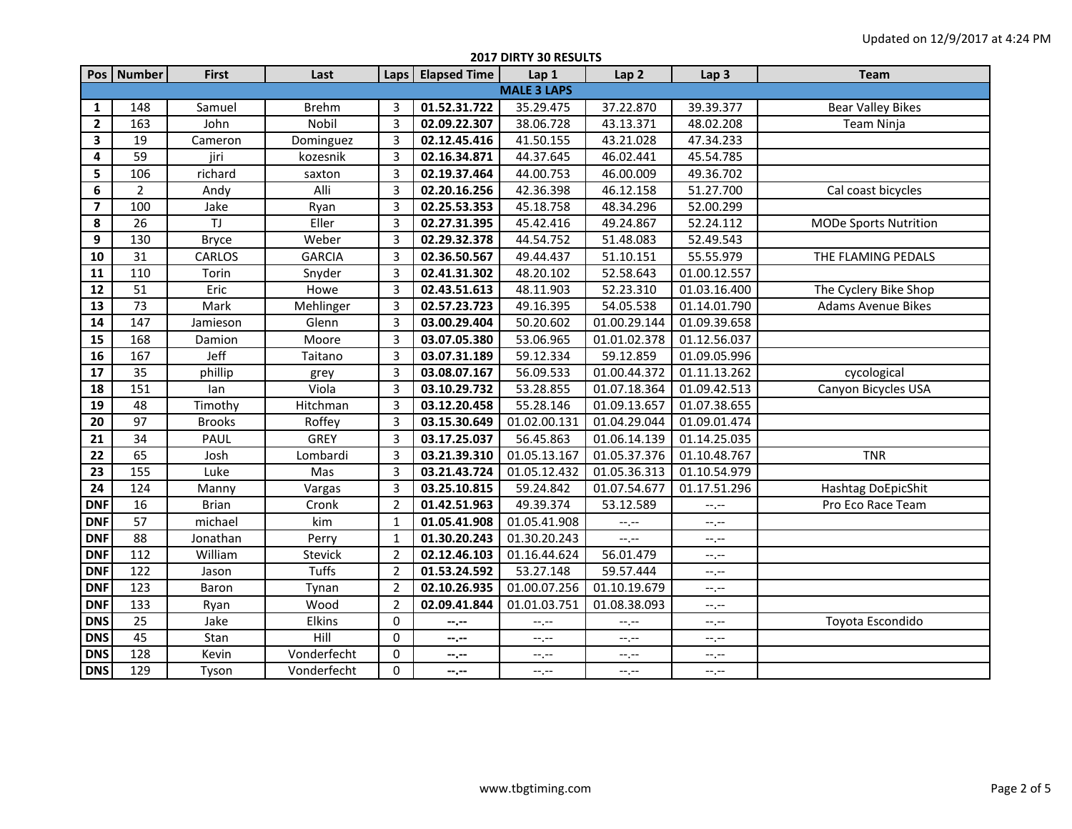|                         | 2017 DIRTY 30 RESULTS |               |               |                |                     |                           |                  |                  |                              |  |  |
|-------------------------|-----------------------|---------------|---------------|----------------|---------------------|---------------------------|------------------|------------------|------------------------------|--|--|
|                         | Pos   Number          | <b>First</b>  | Last          |                | Laps   Elapsed Time | Lap 1                     | Lap <sub>2</sub> | Lap <sub>3</sub> | <b>Team</b>                  |  |  |
|                         | <b>MALE 3 LAPS</b>    |               |               |                |                     |                           |                  |                  |                              |  |  |
| 1                       | 148                   | Samuel        | <b>Brehm</b>  | 3              | 01.52.31.722        | 35.29.475                 | 37.22.870        | 39.39.377        | <b>Bear Valley Bikes</b>     |  |  |
| $\overline{2}$          | 163                   | John          | Nobil         | $\overline{3}$ | 02.09.22.307        | 38.06.728                 | 43.13.371        | 48.02.208        | Team Ninja                   |  |  |
| $\overline{\mathbf{3}}$ | 19                    | Cameron       | Dominguez     | $\overline{3}$ | 02.12.45.416        | 41.50.155                 | 43.21.028        | 47.34.233        |                              |  |  |
| 4                       | 59                    | jiri          | kozesnik      | $\overline{3}$ | 02.16.34.871        | 44.37.645                 | 46.02.441        | 45.54.785        |                              |  |  |
| 5                       | 106                   | richard       | saxton        | $\overline{3}$ | 02.19.37.464        | 44.00.753                 | 46.00.009        | 49.36.702        |                              |  |  |
| 6                       | $\overline{2}$        | Andy          | Alli          | $\overline{3}$ | 02.20.16.256        | 42.36.398                 | 46.12.158        | 51.27.700        | Cal coast bicycles           |  |  |
| $\overline{\mathbf{z}}$ | 100                   | Jake          | Ryan          | $\overline{3}$ | 02.25.53.353        | 45.18.758                 | 48.34.296        | 52.00.299        |                              |  |  |
| 8                       | 26                    | TJ            | Eller         | $\overline{3}$ | 02.27.31.395        | 45.42.416                 | 49.24.867        | 52.24.112        | <b>MODe Sports Nutrition</b> |  |  |
| 9                       | 130                   | <b>Bryce</b>  | Weber         | 3              | 02.29.32.378        | 44.54.752                 | 51.48.083        | 52.49.543        |                              |  |  |
| 10                      | 31                    | CARLOS        | <b>GARCIA</b> | 3              | 02.36.50.567        | 49.44.437                 | 51.10.151        | 55.55.979        | THE FLAMING PEDALS           |  |  |
| 11                      | 110                   | Torin         | Snyder        | 3              | 02.41.31.302        | 48.20.102                 | 52.58.643        | 01.00.12.557     |                              |  |  |
| 12                      | 51                    | Eric          | Howe          | 3              | 02.43.51.613        | 48.11.903                 | 52.23.310        | 01.03.16.400     | The Cyclery Bike Shop        |  |  |
| 13                      | 73                    | Mark          | Mehlinger     | 3              | 02.57.23.723        | 49.16.395                 | 54.05.538        | 01.14.01.790     | <b>Adams Avenue Bikes</b>    |  |  |
| 14                      | 147                   | Jamieson      | Glenn         | 3              | 03.00.29.404        | 50.20.602                 | 01.00.29.144     | 01.09.39.658     |                              |  |  |
| 15                      | 168                   | Damion        | Moore         | 3              | 03.07.05.380        | 53.06.965                 | 01.01.02.378     | 01.12.56.037     |                              |  |  |
| 16                      | 167                   | Jeff          | Taitano       | 3              | 03.07.31.189        | 59.12.334                 | 59.12.859        | 01.09.05.996     |                              |  |  |
| 17                      | 35                    | phillip       | grey          | 3              | 03.08.07.167        | 56.09.533                 | 01.00.44.372     | 01.11.13.262     | cycological                  |  |  |
| 18                      | 151                   | lan           | Viola         | 3              | 03.10.29.732        | 53.28.855                 | 01.07.18.364     | 01.09.42.513     | Canyon Bicycles USA          |  |  |
| 19                      | 48                    | Timothy       | Hitchman      | 3              | 03.12.20.458        | 55.28.146                 | 01.09.13.657     | 01.07.38.655     |                              |  |  |
| 20                      | 97                    | <b>Brooks</b> | Roffey        | 3              | 03.15.30.649        | $\overline{01.02.00.131}$ | 01.04.29.044     | 01.09.01.474     |                              |  |  |
| 21                      | 34                    | PAUL          | <b>GREY</b>   | 3              | 03.17.25.037        | 56.45.863                 | 01.06.14.139     | 01.14.25.035     |                              |  |  |
| 22                      | 65                    | Josh          | Lombardi      | 3              | 03.21.39.310        | 01.05.13.167              | 01.05.37.376     | 01.10.48.767     | <b>TNR</b>                   |  |  |
| 23                      | 155                   | Luke          | Mas           | $\overline{3}$ | 03.21.43.724        | 01.05.12.432              | 01.05.36.313     | 01.10.54.979     |                              |  |  |
| 24                      | 124                   | Manny         | Vargas        | 3              | 03.25.10.815        | 59.24.842                 | 01.07.54.677     | 01.17.51.296     | Hashtag DoEpicShit           |  |  |
| <b>DNF</b>              | 16                    | Brian         | Cronk         | $\overline{2}$ | 01.42.51.963        | 49.39.374                 | 53.12.589        | --.--            | Pro Eco Race Team            |  |  |
| <b>DNF</b>              | 57                    | michael       | kim           | $\mathbf{1}$   | 01.05.41.908        | 01.05.41.908              | $-1$ . $-1$      | $-1$             |                              |  |  |
| <b>DNF</b>              | 88                    | Jonathan      | Perry         | $\mathbf{1}$   | 01.30.20.243        | 01.30.20.243              | $-1 - 1 - 1 = 0$ | $-1$             |                              |  |  |
| <b>DNF</b>              | 112                   | William       | Stevick       | $\overline{2}$ | 02.12.46.103        | 01.16.44.624              | 56.01.479        | --.--            |                              |  |  |
| <b>DNF</b>              | 122                   | Jason         | <b>Tuffs</b>  | $\overline{2}$ | 01.53.24.592        | 53.27.148                 | 59.57.444        | --,--            |                              |  |  |
| <b>DNF</b>              | 123                   | Baron         | Tynan         | $\overline{2}$ | 02.10.26.935        | 01.00.07.256              | 01.10.19.679     | --.--            |                              |  |  |
| <b>DNF</b>              | 133                   | Ryan          | Wood          | $\overline{2}$ | 02.09.41.844        | 01.01.03.751              | 01.08.38.093     | --.--            |                              |  |  |
| <b>DNS</b>              | 25                    | Jake          | Elkins        | 0              | --.--               | $-1, -1$                  | $--, --$         | --.--            | Toyota Escondido             |  |  |
| <b>DNS</b>              | 45                    | Stan          | Hill          | 0              | --.--               | $--, --$                  | $-1$ , $-1$      | --.--            |                              |  |  |
| <b>DNS</b>              | 128                   | Kevin         | Vonderfecht   | 0              | --.--               | $-1$                      | --.--            | $-1$             |                              |  |  |
| <b>DNS</b>              | 129                   | Tyson         | Vonderfecht   | 0              | $-1$                | $-1, -1$                  | $-1$ , $-1$      | $-1 - 1 - 1 = 0$ |                              |  |  |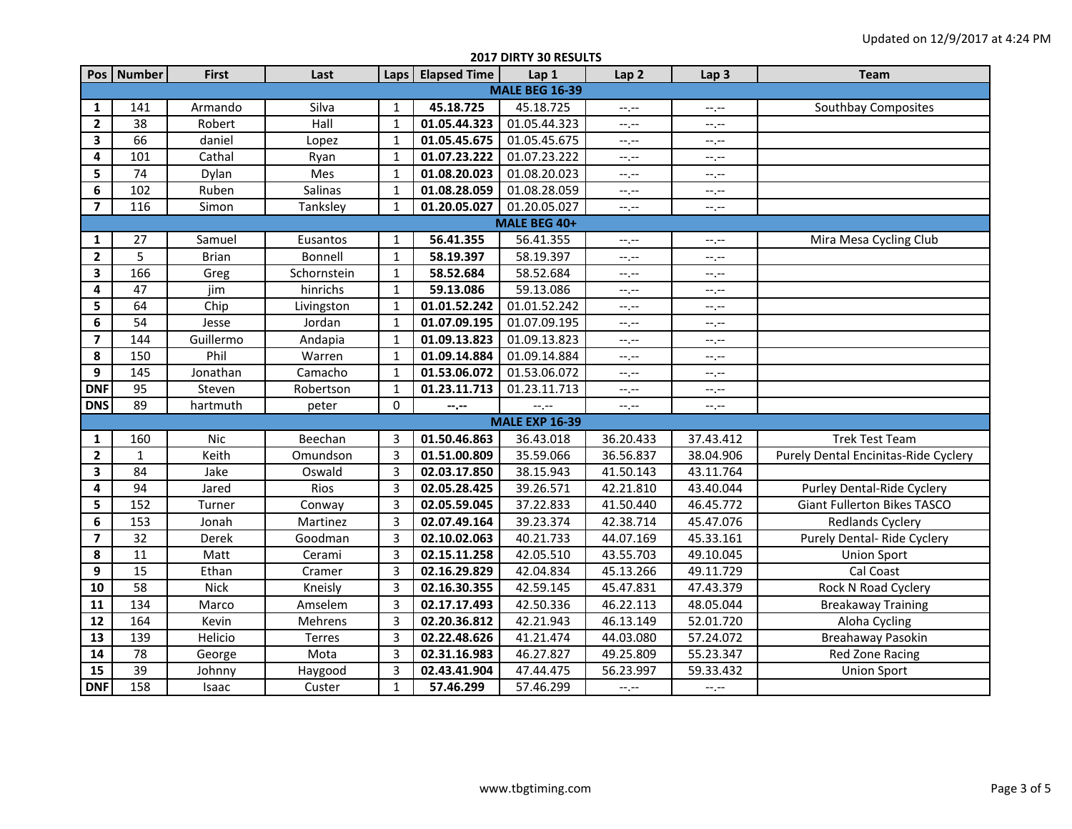| 2017 DIRTY 30 RESULTS   |                       |              |             |                |                     |                       |                  |                  |                                      |  |
|-------------------------|-----------------------|--------------|-------------|----------------|---------------------|-----------------------|------------------|------------------|--------------------------------------|--|
|                         | Pos   Number          | <b>First</b> | Last        | Laps           | <b>Elapsed Time</b> | Lap 1                 | Lap <sub>2</sub> | Lap <sub>3</sub> | <b>Team</b>                          |  |
|                         | <b>MALE BEG 16-39</b> |              |             |                |                     |                       |                  |                  |                                      |  |
| 1                       | 141                   | Armando      | Silva       | 1              | 45.18.725           | 45.18.725             | $-1$ , $-1$      | $-1, -1$         | Southbay Composites                  |  |
| $\overline{\mathbf{2}}$ | 38                    | Robert       | Hall        | $\mathbf{1}$   | 01.05.44.323        | 01.05.44.323          | $-1$ , $-1$      | --.--            |                                      |  |
| 3                       | 66                    | daniel       | Lopez       | $\mathbf{1}$   | 01.05.45.675        | 01.05.45.675          | $-1$ , $-1$      | $-1, -1$         |                                      |  |
| 4                       | 101                   | Cathal       | Ryan        | $\mathbf{1}$   | 01.07.23.222        | 01.07.23.222          | $-1$ , $-1$      | $--, --$         |                                      |  |
| 5                       | 74                    | Dylan        | Mes         | $\mathbf{1}$   | 01.08.20.023        | 01.08.20.023          | $--, --$         | $-1, -1$         |                                      |  |
| 6                       | 102                   | Ruben        | Salinas     | $\mathbf{1}$   | 01.08.28.059        | 01.08.28.059          | $-1, -1$         | $-1, -1$         |                                      |  |
| $\overline{7}$          | 116                   | Simon        | Tanksley    | $\mathbf{1}$   | 01.20.05.027        | 01.20.05.027          | $-1, -1$         | $-1, -1$         |                                      |  |
|                         |                       |              |             |                |                     | MALE BEG 40+          |                  |                  |                                      |  |
| 1                       | 27                    | Samuel       | Eusantos    | $\mathbf{1}$   | 56.41.355           | 56.41.355             | $--, --$         | $-1, -1$         | Mira Mesa Cycling Club               |  |
| $\overline{2}$          | 5                     | <b>Brian</b> | Bonnell     | $\mathbf{1}$   | 58.19.397           | 58.19.397             | $-1, -1$         | $-1, -1$         |                                      |  |
| 3                       | 166                   | Greg         | Schornstein | $\mathbf{1}$   | 58.52.684           | 58.52.684             | $-1$ , $-1$      | $-1, -1$         |                                      |  |
| 4                       | 47                    | jim          | hinrichs    | $\mathbf{1}$   | 59.13.086           | 59.13.086             | $--, --$         | --.--            |                                      |  |
| 5                       | 64                    | Chip         | Livingston  | $\mathbf{1}$   | 01.01.52.242        | 01.01.52.242          | $-1 - 1 - 1 = 0$ | --.--            |                                      |  |
| 6                       | 54                    | Jesse        | Jordan      | $\mathbf{1}$   | 01.07.09.195        | 01.07.09.195          | $-1$ , $-1$      | $-1 - 1 - 1 = 0$ |                                      |  |
| $\overline{\mathbf{z}}$ | 144                   | Guillermo    | Andapia     | $\mathbf{1}$   | 01.09.13.823        | 01.09.13.823          | $-1$ , $-1$      | $-1, -1$         |                                      |  |
| 8                       | 150                   | Phil         | Warren      | $\mathbf{1}$   | 01.09.14.884        | 01.09.14.884          | $--, --$         | $-1, -1$         |                                      |  |
| 9                       | 145                   | Jonathan     | Camacho     | $\mathbf{1}$   | 01.53.06.072        | 01.53.06.072          | $--, --$         | $-1, -1$         |                                      |  |
| <b>DNF</b>              | 95                    | Steven       | Robertson   | $\mathbf{1}$   | 01.23.11.713        | 01.23.11.713          | $-1, -1$         | $--, --$         |                                      |  |
| <b>DNS</b>              | 89                    | hartmuth     | peter       | 0              | --.--               | $-1$                  | $-1, -1$         | $--, --$         |                                      |  |
|                         |                       |              |             |                |                     | <b>MALE EXP 16-39</b> |                  |                  |                                      |  |
| 1                       | 160                   | <b>Nic</b>   | Beechan     | 3              | 01.50.46.863        | 36.43.018             | 36.20.433        | 37.43.412        | <b>Trek Test Team</b>                |  |
| $\overline{2}$          | $\mathbf{1}$          | Keith        | Omundson    | $\overline{3}$ | 01.51.00.809        | 35.59.066             | 36.56.837        | 38.04.906        | Purely Dental Encinitas-Ride Cyclery |  |
| 3                       | $\overline{84}$       | Jake         | Oswald      | $\overline{3}$ | 02.03.17.850        | 38.15.943             | 41.50.143        | 43.11.764        |                                      |  |
| 4                       | 94                    | Jared        | Rios        | $\overline{3}$ | 02.05.28.425        | 39.26.571             | 42.21.810        | 43.40.044        | Purley Dental-Ride Cyclery           |  |
| 5                       | 152                   | Turner       | Conway      | $\overline{3}$ | 02.05.59.045        | 37.22.833             | 41.50.440        | 46.45.772        | <b>Giant Fullerton Bikes TASCO</b>   |  |
| 6                       | 153                   | Jonah        | Martinez    | $\overline{3}$ | 02.07.49.164        | 39.23.374             | 42.38.714        | 45.47.076        | <b>Redlands Cyclery</b>              |  |
| $\overline{\mathbf{z}}$ | 32                    | Derek        | Goodman     | $\overline{3}$ | 02.10.02.063        | 40.21.733             | 44.07.169        | 45.33.161        | Purely Dental- Ride Cyclery          |  |
| 8                       | 11                    | Matt         | Cerami      | $\overline{3}$ | 02.15.11.258        | 42.05.510             | 43.55.703        | 49.10.045        | <b>Union Sport</b>                   |  |
| 9                       | $\overline{15}$       | Ethan        | Cramer      | $\overline{3}$ | 02.16.29.829        | 42.04.834             | 45.13.266        | 49.11.729        | Cal Coast                            |  |
| 10                      | 58                    | <b>Nick</b>  | Kneisly     | 3              | 02.16.30.355        | 42.59.145             | 45.47.831        | 47.43.379        | Rock N Road Cyclery                  |  |
| 11                      | 134                   | Marco        | Amselem     | $\overline{3}$ | 02.17.17.493        | 42.50.336             | 46.22.113        | 48.05.044        | <b>Breakaway Training</b>            |  |
| 12                      | 164                   | Kevin        | Mehrens     | $\overline{3}$ | 02.20.36.812        | 42.21.943             | 46.13.149        | 52.01.720        | Aloha Cycling                        |  |
| 13                      | 139                   | Helicio      | Terres      | $\overline{3}$ | 02.22.48.626        | 41.21.474             | 44.03.080        | 57.24.072        | Breahaway Pasokin                    |  |
| 14                      | 78                    | George       | Mota        | 3              | 02.31.16.983        | 46.27.827             | 49.25.809        | 55.23.347        | <b>Red Zone Racing</b>               |  |
| 15                      | $\overline{39}$       | Johnny       | Haygood     | 3              | 02.43.41.904        | 47.44.475             | 56.23.997        | 59.33.432        | <b>Union Sport</b>                   |  |
| <b>DNF</b>              | 158                   | Isaac        | Custer      | $\mathbf{1}$   | 57.46.299           | 57.46.299             | $-1 - 1 - 1 = 0$ | $-1, -1$         |                                      |  |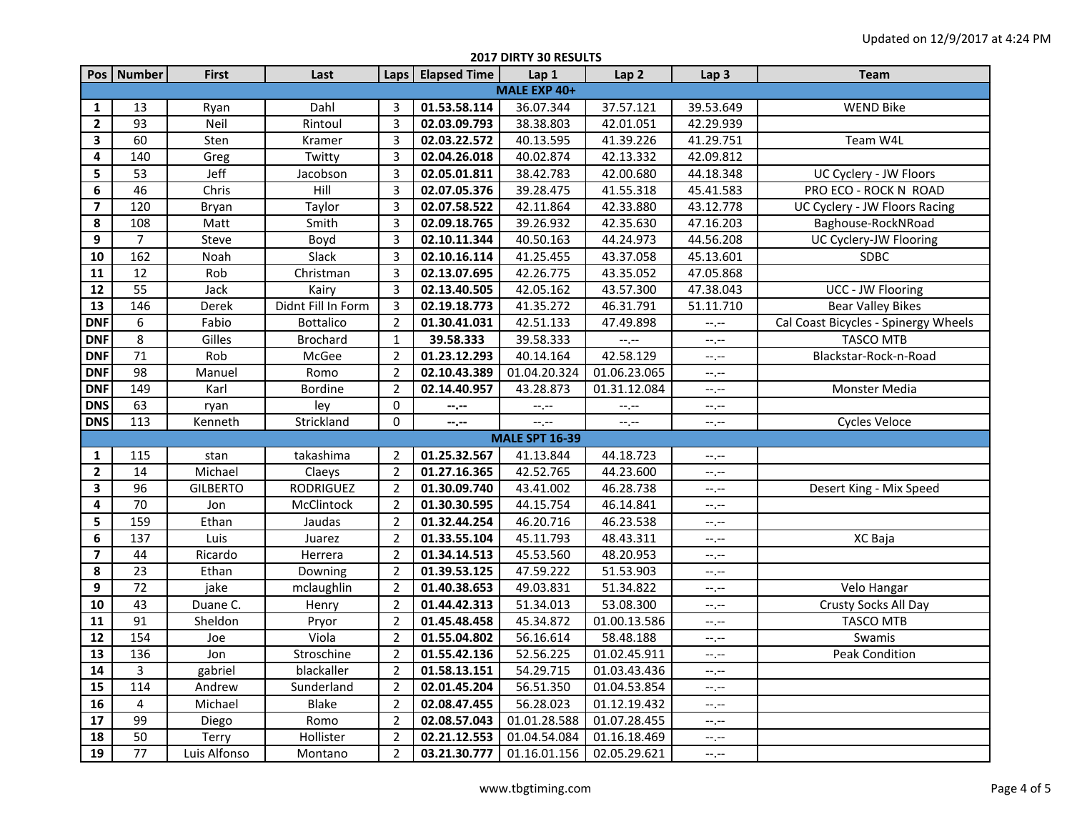|                         | 2017 DIRTY 30 RESULTS |                 |                    |                |                     |                           |                  |                  |                                      |  |
|-------------------------|-----------------------|-----------------|--------------------|----------------|---------------------|---------------------------|------------------|------------------|--------------------------------------|--|
|                         | Pos   Number          | <b>First</b>    | Last               |                | Laps   Elapsed Time | Lap 1                     | Lap <sub>2</sub> | Lap <sub>3</sub> | Team                                 |  |
|                         | MALE EXP 40+          |                 |                    |                |                     |                           |                  |                  |                                      |  |
| 1                       | 13                    | Ryan            | Dahl               | 3              | 01.53.58.114        | 36.07.344                 | 37.57.121        | 39.53.649        | <b>WEND Bike</b>                     |  |
| $\mathbf{2}$            | 93                    | Neil            | Rintoul            | 3              | 02.03.09.793        | 38.38.803                 | 42.01.051        | 42.29.939        |                                      |  |
| 3                       | 60                    | Sten            | Kramer             | 3              | 02.03.22.572        | 40.13.595                 | 41.39.226        | 41.29.751        | Team W4L                             |  |
| 4                       | 140                   | Greg            | Twitty             | $\mathbf{3}$   | 02.04.26.018        | 40.02.874                 | 42.13.332        | 42.09.812        |                                      |  |
| 5                       | 53                    | Jeff            | Jacobson           | 3              | 02.05.01.811        | 38.42.783                 | 42.00.680        | 44.18.348        | UC Cyclery - JW Floors               |  |
| 6                       | 46                    | Chris           | Hill               | 3              | 02.07.05.376        | 39.28.475                 | 41.55.318        | 45.41.583        | PRO ECO - ROCK N ROAD                |  |
| $\overline{\mathbf{z}}$ | 120                   | Bryan           | Taylor             | 3              | 02.07.58.522        | 42.11.864                 | 42.33.880        | 43.12.778        | UC Cyclery - JW Floors Racing        |  |
| 8                       | 108                   | Matt            | Smith              | 3              | 02.09.18.765        | 39.26.932                 | 42.35.630        | 47.16.203        | Baghouse-RockNRoad                   |  |
| 9                       | 7                     | Steve           | Boyd               | 3              | 02.10.11.344        | 40.50.163                 | 44.24.973        | 44.56.208        | UC Cyclery-JW Flooring               |  |
| 10                      | 162                   | Noah            | Slack              | 3              | 02.10.16.114        | 41.25.455                 | 43.37.058        | 45.13.601        | <b>SDBC</b>                          |  |
| 11                      | 12                    | Rob             | Christman          | 3              | 02.13.07.695        | 42.26.775                 | 43.35.052        | 47.05.868        |                                      |  |
| 12                      | 55                    | Jack            | Kairy              | 3              | 02.13.40.505        | 42.05.162                 | 43.57.300        | 47.38.043        | UCC - JW Flooring                    |  |
| 13                      | 146                   | Derek           | Didnt Fill In Form | 3              | 02.19.18.773        | 41.35.272                 | 46.31.791        | 51.11.710        | <b>Bear Valley Bikes</b>             |  |
| <b>DNF</b>              | 6                     | Fabio           | <b>Bottalico</b>   | $\overline{2}$ | 01.30.41.031        | 42.51.133                 | 47.49.898        | --.--            | Cal Coast Bicycles - Spinergy Wheels |  |
| <b>DNF</b>              | 8                     | Gilles          | <b>Brochard</b>    | $\mathbf{1}$   | 39.58.333           | 39.58.333                 | $-1$ . $-1$      | --.--            | <b>TASCO MTB</b>                     |  |
| <b>DNF</b>              | 71                    | Rob             | McGee              | $\overline{2}$ | 01.23.12.293        | 40.14.164                 | 42.58.129        | --.--            | Blackstar-Rock-n-Road                |  |
| <b>DNF</b>              | 98                    | Manuel          | Romo               | $\overline{2}$ | 02.10.43.389        | 01.04.20.324              | 01.06.23.065     | --.--            |                                      |  |
| <b>DNF</b>              | 149                   | Karl            | <b>Bordine</b>     | $\overline{2}$ | 02.14.40.957        | 43.28.873                 | 01.31.12.084     | --.--            | Monster Media                        |  |
| <b>DNS</b>              | 63                    | ryan            | ley                | 0              | --.--               | --.--                     | $-1$ . $-1$      | $-1, -1$         |                                      |  |
| <b>DNS</b>              | 113                   | Kenneth         | Strickland         | 0              | --.--               | --.--                     | $--, --$         | $-1 - 1 - 1 = 0$ | <b>Cycles Veloce</b>                 |  |
|                         |                       |                 |                    |                |                     | <b>MALE SPT 16-39</b>     |                  |                  |                                      |  |
| 1                       | 115                   | stan            | takashima          | $\overline{2}$ | 01.25.32.567        | 41.13.844                 | 44.18.723        | --.--            |                                      |  |
| $\overline{2}$          | 14                    | Michael         | Claeys             | $\overline{2}$ | 01.27.16.365        | 42.52.765                 | 44.23.600        | $--, --$         |                                      |  |
| 3                       | 96                    | <b>GILBERTO</b> | RODRIGUEZ          | $\overline{2}$ | 01.30.09.740        | 43.41.002                 | 46.28.738        | --.--            | Desert King - Mix Speed              |  |
| 4                       | 70                    | Jon             | McClintock         | $\overline{2}$ | 01.30.30.595        | 44.15.754                 | 46.14.841        | --.--            |                                      |  |
| 5                       | 159                   | Ethan           | Jaudas             | $\overline{2}$ | 01.32.44.254        | 46.20.716                 | 46.23.538        | --.--            |                                      |  |
| 6                       | 137                   | Luis            | Juarez             | $\overline{2}$ | 01.33.55.104        | 45.11.793                 | 48.43.311        | --.--            | XC Baja                              |  |
| $\overline{7}$          | 44                    | Ricardo         | Herrera            | $\overline{2}$ | 01.34.14.513        | 45.53.560                 | 48.20.953        | $-1, -1$         |                                      |  |
| 8                       | 23                    | Ethan           | Downing            | $\overline{2}$ | 01.39.53.125        | 47.59.222                 | 51.53.903        | $-1, -1$         |                                      |  |
| 9                       | 72                    | jake            | mclaughlin         | $\overline{2}$ | 01.40.38.653        | 49.03.831                 | 51.34.822        | $-1 - 1 - 1 = 0$ | Velo Hangar                          |  |
| 10                      | 43                    | Duane C.        | Henry              | $\overline{2}$ | 01.44.42.313        | 51.34.013                 | 53.08.300        | $--, --$         | Crusty Socks All Day                 |  |
| 11                      | 91                    | Sheldon         | Pryor              | $\overline{2}$ | 01.45.48.458        | 45.34.872                 | 01.00.13.586     | $-1, -1$         | <b>TASCO MTB</b>                     |  |
| 12                      | 154                   | Joe             | Viola              | $\overline{2}$ | 01.55.04.802        | 56.16.614                 | 58.48.188        | $-1, -1$         | Swamis                               |  |
| 13                      | 136                   | Jon             | Stroschine         | $\overline{2}$ | 01.55.42.136        | 52.56.225                 | 01.02.45.911     | --.--            | Peak Condition                       |  |
| 14                      | 3                     | gabriel         | blackaller         | $\overline{2}$ | 01.58.13.151        | 54.29.715                 | 01.03.43.436     | $-1, -1$         |                                      |  |
| 15                      | 114                   | Andrew          | Sunderland         | $\overline{2}$ | 02.01.45.204        | 56.51.350                 | 01.04.53.854     | --.--            |                                      |  |
| 16                      | 4                     | Michael         | Blake              | $\overline{2}$ | 02.08.47.455        | 56.28.023                 | 01.12.19.432     | --.--            |                                      |  |
| 17                      | 99                    | Diego           | Romo               | $\overline{2}$ | 02.08.57.043        | 01.01.28.588              | 01.07.28.455     | --.--            |                                      |  |
| 18                      | 50                    | Terry           | Hollister          | $\overline{2}$ | 02.21.12.553        | 01.04.54.084              | 01.16.18.469     | --.--            |                                      |  |
| 19                      | 77                    | Luis Alfonso    | Montano            | $\overline{2}$ | 03.21.30.777        | 01.16.01.156 02.05.29.621 |                  | $-1$ , $-1$      |                                      |  |